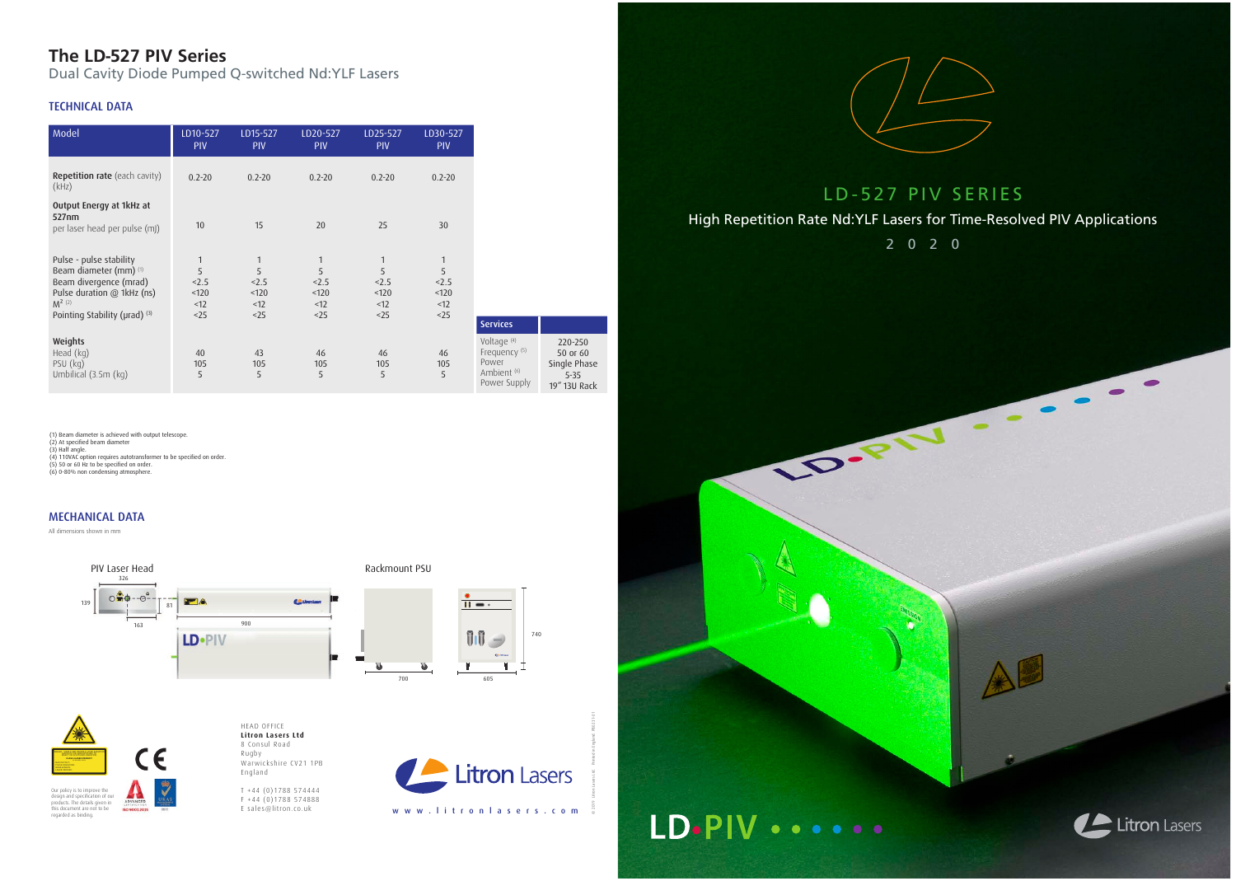## **The LD-527 PIV Series**

Dual Cavity Diode Pumped Q-switched Nd:YLF Lasers

### TECHNICAL DATA



T +44 (0)1788 574444  $F + 44 (0)1788574888$ E sales@litron.co.uk

© 2019 Litron Lasers Ltd. Printed in England. PB0231-01

LD-527 PIV SERIES High Repetition Rate Nd:YLF Lasers for Time-Resolved PIV Applications 2020

CONSTRUCTION





 $\sqrt{2}$ 

 $\bullet$ 

(1) Beam diameter is achieved with output telescope.

(2) At specified beam diameter<br>(3) Half angle.<br>(4) 110VAC option requires autotransformer to be specified on order.<br>(5) 50 or 60 Hz to be specified on order.



(6) 0-80% non condensing atmosphere.

Our policy is to improve the design and specification of our products. The details given in this document are not to be regarded as binding.

All dimensions shown in mm

### MECHANICAL DATA

 $\mathsf{C}\mathsf{C}$ 

49



| Model                                                                                                                                                     | LD10-527<br>PIV                               | LD15-527<br>PIV                                    | LD20-527<br>PIV                                  | LD25-527<br>PIV                                   | LD30-527<br>PIV                        |                                                                                                       |
|-----------------------------------------------------------------------------------------------------------------------------------------------------------|-----------------------------------------------|----------------------------------------------------|--------------------------------------------------|---------------------------------------------------|----------------------------------------|-------------------------------------------------------------------------------------------------------|
| <b>Repetition rate</b> (each cavity)<br>(kHz)                                                                                                             | $0.2 - 20$                                    | $0.2 - 20$                                         | $0.2 - 20$                                       | $0.2 - 20$                                        | $0.2 - 20$                             |                                                                                                       |
| Output Energy at 1kHz at<br>527nm<br>per laser head per pulse (mJ)                                                                                        | 10                                            | 15                                                 | 20                                               | 25                                                | 30                                     |                                                                                                       |
| Pulse - pulse stability<br>Beam diameter (mm) (1)<br>Beam divergence (mrad)<br>Pulse duration @ 1kHz (ns)<br>$M^{2}$ (2)<br>Pointing Stability (µrad) (3) | $\mathbf{1}$<br>5<br>2.5<br>120<br><12<br><25 | $\mathbf{1}$<br>5<br>2.5<br>< 120<br><12<br>$<$ 25 | $\mathbf{1}$<br>5<br>2.5<br>120<br><12<br>$<$ 25 | $\mathbf{1}$<br>5<br>< 2.5<br>< 120<br><12<br><25 | 1<br>5<br>2.5<br>120<br>< 12<br>$<$ 25 | <b>Services</b>                                                                                       |
| Weights<br>Head (kg)<br>PSU (kg)<br>Umbilical (3.5m (kg)                                                                                                  | 40<br>105<br>5                                | 43<br>105<br>5                                     | 46<br>105<br>5                                   | 46<br>105<br>5                                    | 46<br>105<br>5                         | Voltage <sup>(4)</sup><br>Frequency <sup>(5)</sup><br>Power<br>Ambient <sup>(6)</sup><br>Power Supply |

220-250 50 or 60 Single Phase 5-35 19" 13U Rack